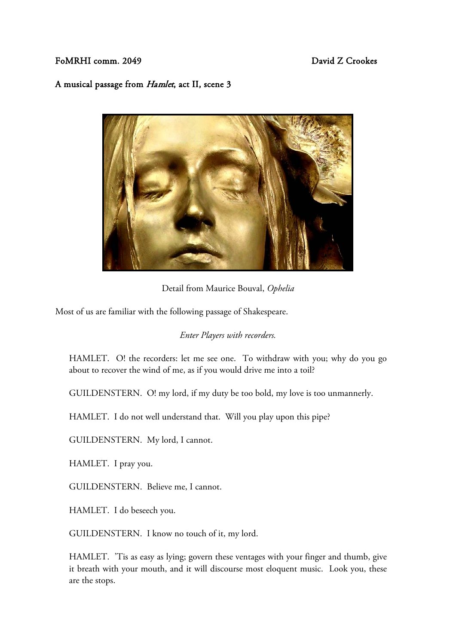## FoMRHI comm. 2049 **David Z Crookes**

## A musical passage from Hamlet, act II, scene 3



Detail from Maurice Bouval, *Ophelia*

Most of us are familiar with the following passage of Shakespeare.

## *Enter Players with recorders.*

HAMLET. O! the recorders: let me see one. To withdraw with you; why do you go about to recover the wind of me, as if you would drive me into a toil?

GUILDENSTERN. O! my lord, if my duty be too bold, my love is too unmannerly.

HAMLET. I do not well understand that. Will you play upon this pipe?

GUILDENSTERN. My lord, I cannot.

HAMLET. I pray you.

GUILDENSTERN. Believe me, I cannot.

HAMLET. I do beseech you.

GUILDENSTERN. I know no touch of it, my lord.

HAMLET. 'Tis as easy as lying; govern these ventages with your finger and thumb, give it breath with your mouth, and it will discourse most eloquent music. Look you, these are the stops.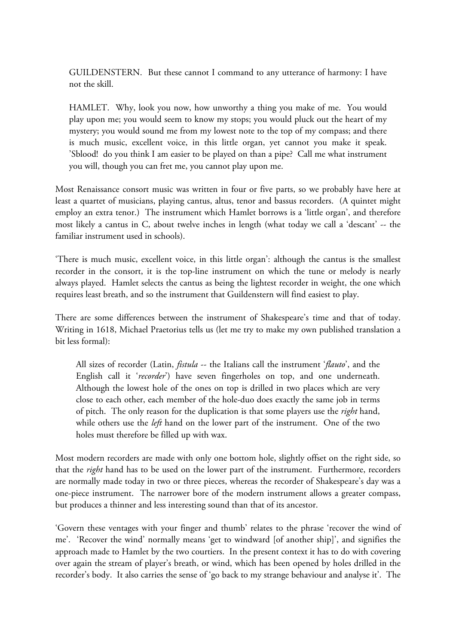GUILDENSTERN. But these cannot I command to any utterance of harmony: I have not the skill.

HAMLET. Why, look you now, how unworthy a thing you make of me. You would play upon me; you would seem to know my stops; you would pluck out the heart of my mystery; you would sound me from my lowest note to the top of my compass; and there is much music, excellent voice, in this little organ, yet cannot you make it speak. 'Sblood! do you think I am easier to be played on than a pipe? Call me what instrument you will, though you can fret me, you cannot play upon me.

Most Renaissance consort music was written in four or five parts, so we probably have here at least a quartet of musicians, playing cantus, altus, tenor and bassus recorders. (A quintet might employ an extra tenor.) The instrument which Hamlet borrows is a 'little organ', and therefore most likely a cantus in C, about twelve inches in length (what today we call a 'descant' -- the familiar instrument used in schools).

'There is much music, excellent voice, in this little organ': although the cantus is the smallest recorder in the consort, it is the top-line instrument on which the tune or melody is nearly always played. Hamlet selects the cantus as being the lightest recorder in weight, the one which requires least breath, and so the instrument that Guildenstern will find easiest to play.

There are some differences between the instrument of Shakespeare's time and that of today. Writing in 1618, Michael Praetorius tells us (let me try to make my own published translation a bit less formal):

All sizes of recorder (Latin, *fistula* -- the Italians call the instrument '*flauto*', and the English call it '*recorder*') have seven fingerholes on top, and one underneath. Although the lowest hole of the ones on top is drilled in two places which are very close to each other, each member of the hole-duo does exactly the same job in terms of pitch. The only reason for the duplication is that some players use the *right* hand, while others use the *left* hand on the lower part of the instrument. One of the two holes must therefore be filled up with wax.

Most modern recorders are made with only one bottom hole, slightly offset on the right side, so that the *right* hand has to be used on the lower part of the instrument. Furthermore, recorders are normally made today in two or three pieces, whereas the recorder of Shakespeare's day was a one-piece instrument. The narrower bore of the modern instrument allows a greater compass, but produces a thinner and less interesting sound than that of its ancestor.

'Govern these ventages with your finger and thumb' relates to the phrase 'recover the wind of me'. 'Recover the wind' normally means 'get to windward [of another ship]', and signifies the approach made to Hamlet by the two courtiers. In the present context it has to do with covering over again the stream of player's breath, or wind, which has been opened by holes drilled in the recorder's body. It also carries the sense of 'go back to my strange behaviour and analyse it'. The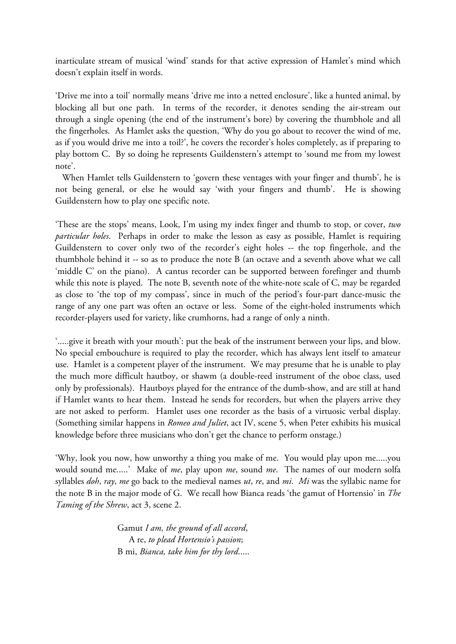inarticulate stream of musical 'wind' stands for that active expression of Hamlet's mind which doesn't explain itself in words.

'Drive me into a toil' normally means 'drive me into a netted enclosure', like a hunted animal, by blocking all but one path. In terms of the recorder, it denotes sending the air-stream out through a single opening (the end of the instrument's bore) by covering the thumbhole and all the fingerholes. As Hamlet asks the question, 'Why do you go about to recover the wind of me, as if you would drive me into a toil?', he covers the recorder's holes completely, as if preparing to play bottom C. By so doing he represents Guildenstern's attempt to 'sound me from my lowest note'.

 When Hamlet tells Guildenstern to 'govern these ventages with your finger and thumb', he is not being general, or else he would say 'with your fingers and thumb'. He is showing Guildenstern how to play one specific note.

'These are the stops' means, Look, I'm using my index finger and thumb to stop, or cover, *two particular holes*. Perhaps in order to make the lesson as easy as possible, Hamlet is requiring Guildenstern to cover only two of the recorder's eight holes -- the top fingerhole, and the thumbhole behind it -- so as to produce the note B (an octave and a seventh above what we call 'middle C' on the piano). A cantus recorder can be supported between forefinger and thumb while this note is played. The note B, seventh note of the white-note scale of C, may be regarded as close to 'the top of my compass', since in much of the period's four-part dance-music the range of any one part was often an octave or less. Some of the eight-holed instruments which recorder-players used for variety, like crumhorns, had a range of only a ninth.

'.....give it breath with your mouth': put the beak of the instrument between your lips, and blow. No special embouchure is required to play the recorder, which has always lent itself to amateur use. Hamlet is a competent player of the instrument. We may presume that he is unable to play the much more difficult hautboy, or shawm (a double-reed instrument of the oboe class, used only by professionals). Hautboys played for the entrance of the dumb-show, and are still at hand if Hamlet wants to hear them. Instead he sends for recorders, but when the players arrive they are not asked to perform. Hamlet uses one recorder as the basis of a virtuosic verbal display. (Something similar happens in *Romeo and Juliet*, act IV, scene 5, when Peter exhibits his musical knowledge before three musicians who don't get the chance to perform onstage.)

'Why, look you now, how unworthy a thing you make of me. You would play upon me.....you would sound me.....' Make of *me*, play upon *me*, sound *me*. The names of our modern solfa syllables *doh*, *ray*, *me* go back to the medieval names *ut*, *re*, and *mi*. *Mi* was the syllabic name for the note B in the major mode of G. We recall how Bianca reads 'the gamut of Hortensio' in *The Taming of the Shrew*, act 3, scene 2.

> Gamut *I am, the ground of all accord*, A re, *to plead Hortensio's passion*; B mi, *Bianca, take him for thy lord*.....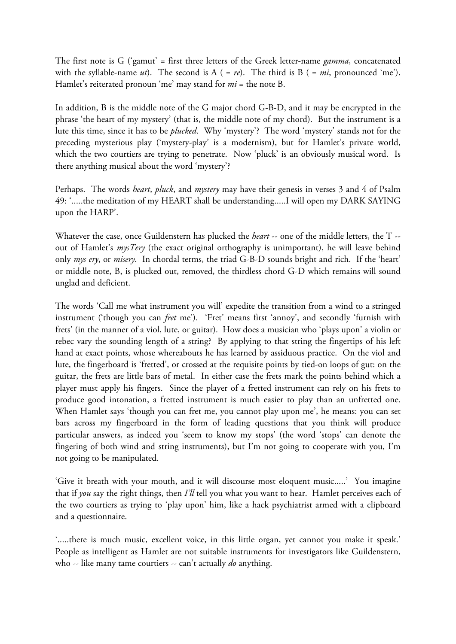The first note is G ('gamut' = first three letters of the Greek letter-name *gamma*, concatenated with the syllable-name  $ut$ ). The second is  $A$  ( =  $re$ ). The third is  $B$  ( =  $mi$ , pronounced 'me'). Hamlet's reiterated pronoun 'me' may stand for *mi* = the note B.

In addition, B is the middle note of the G major chord G-B-D, and it may be encrypted in the phrase 'the heart of my mystery' (that is, the middle note of my chord). But the instrument is a lute this time, since it has to be *plucked*. Why 'mystery'? The word 'mystery' stands not for the preceding mysterious play ('mystery-play' is a modernism), but for Hamlet's private world, which the two courtiers are trying to penetrate. Now 'pluck' is an obviously musical word. Is there anything musical about the word 'mystery'?

Perhaps. The words *heart*, *pluck*, and *mystery* may have their genesis in verses 3 and 4 of Psalm 49: '.....the meditation of my HEART shall be understanding.....I will open my DARK SAYING upon the HARP'.

Whatever the case, once Guildenstern has plucked the *heart* -- one of the middle letters, the T - out of Hamlet's *mysTery* (the exact original orthography is unimportant), he will leave behind only *mys ery*, or *misery*. In chordal terms, the triad G-B-D sounds bright and rich. If the 'heart' or middle note, B, is plucked out, removed, the thirdless chord G-D which remains will sound unglad and deficient.

The words 'Call me what instrument you will' expedite the transition from a wind to a stringed instrument ('though you can *fret* me'). 'Fret' means first 'annoy', and secondly 'furnish with frets' (in the manner of a viol, lute, or guitar). How does a musician who 'plays upon' a violin or rebec vary the sounding length of a string? By applying to that string the fingertips of his left hand at exact points, whose whereabouts he has learned by assiduous practice. On the viol and lute, the fingerboard is 'fretted', or crossed at the requisite points by tied-on loops of gut: on the guitar, the frets are little bars of metal. In either case the frets mark the points behind which a player must apply his fingers. Since the player of a fretted instrument can rely on his frets to produce good intonation, a fretted instrument is much easier to play than an unfretted one. When Hamlet says 'though you can fret me, you cannot play upon me', he means: you can set bars across my fingerboard in the form of leading questions that you think will produce particular answers, as indeed you 'seem to know my stops' (the word 'stops' can denote the fingering of both wind and string instruments), but I'm not going to cooperate with you, I'm not going to be manipulated.

'Give it breath with your mouth, and it will discourse most eloquent music.....' You imagine that if *you* say the right things, then *I'll* tell you what you want to hear. Hamlet perceives each of the two courtiers as trying to 'play upon' him, like a hack psychiatrist armed with a clipboard and a questionnaire.

'.....there is much music, excellent voice, in this little organ, yet cannot you make it speak.' People as intelligent as Hamlet are not suitable instruments for investigators like Guildenstern, who -- like many tame courtiers -- can't actually *do* anything.